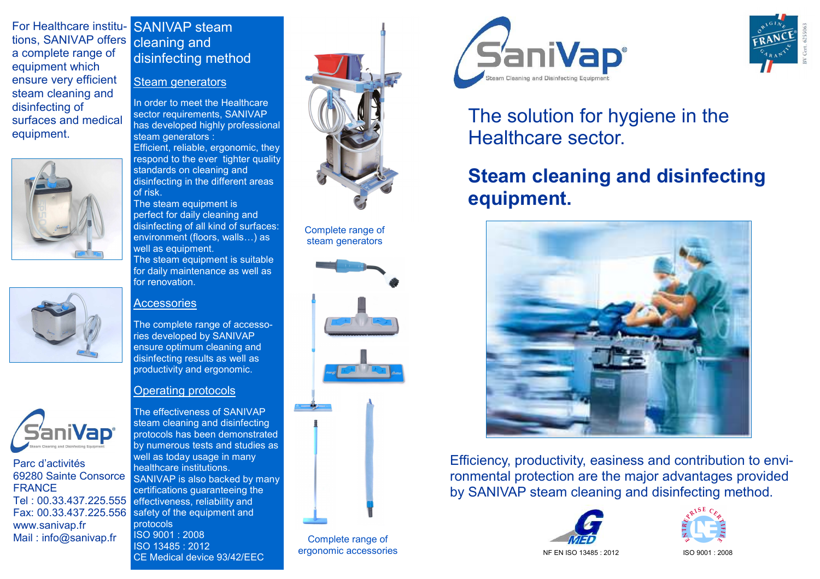For Healthcare institu- SANIVAP steam tions, SANIVAP offers cleaning and a complete range of equipment which ensure very efficient steam cleaning and disinfecting of surfaces and medical equipment.



# disinfecting method

#### Steam generators

In order to meet the Healthcare sector requirements, SANIVAP has developed highly professional steam generators : Efficient, reliable, ergonomic, they

 respond to the ever tighter quality standards on cleaning and disinfecting in the different areas of risk.

 The steam equipment is perfect for daily cleaning and disinfecting of all kind of surfaces: environment (floors, walls...) as well as equipment. The steam equipment is suitable

 for daily maintenance as well as for renovation.



Parc d'activités

www.sanivap.fr

Mail : info@sanivap.fr

FRANCE

#### Accessories

The complete range of accessories developed by SANIVAP ensure optimum cleaning and disinfecting results as well as productivity and ergonomic.

#### Operating protocols

The effectiveness of SANIVAP steam cleaning and disinfecting protocols has been demonstrated by numerous tests and studies as well as today usage in many healthcare institutions. SANIVAP is also backed by many certifications guaranteeing the Tel: 00.33.437.225.555 effectiveness, reliability and Fax:  $00.33.437.225.556$  safety of the equipment and protocols ISO 9001 : 2008 ISO 13485 : 2012 CE Medical device 93/42/EEC69280 Sainte Consorce



Complete range ofsteam generators





 Complete range of ergonomic accessories





## The solution for hygiene in the Healthcare sector.

# **Steam cleaning and disinfecting equipment.**



Efficiency, productivity, easiness and contribution to environmental protection are the major advantages provided by SANIVAP steam cleaning and disinfecting method.





NF EN ISO 13485 : 2012

ISO 9001 : 2008